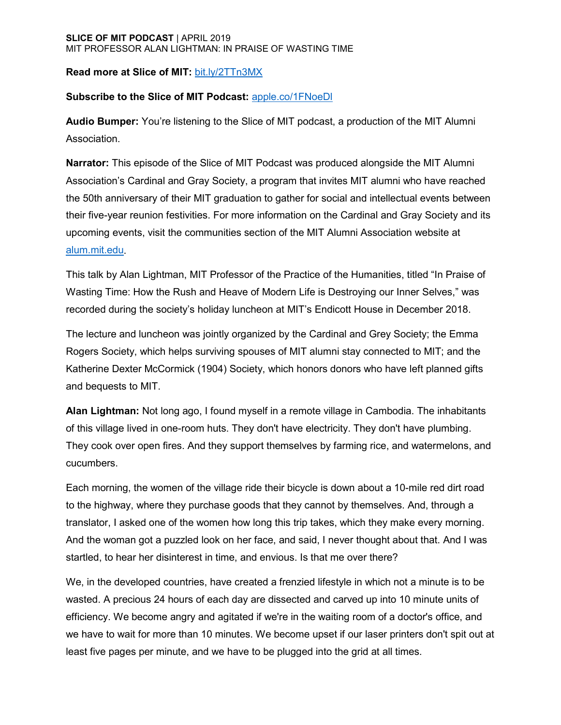# **Read more at Slice of MIT:** [bit.ly/2TTn3MX](https://bit.ly/2TTn3MX)

# **Subscribe to the Slice of MIT Podcast:** [apple.co/1FNoeDl](https://exit.sc/?url=http%3A%2F%2Fapple.co%2F1FNoeDl)

**Audio Bumper:** You're listening to the Slice of MIT podcast, a production of the MIT Alumni Association.

**Narrator:** This episode of the Slice of MIT Podcast was produced alongside the MIT Alumni Association's Cardinal and Gray Society, a program that invites MIT alumni who have reached the 50th anniversary of their MIT graduation to gather for social and intellectual events between their five-year reunion festivities. For more information on the Cardinal and Gray Society and its upcoming events, visit the communities section of the MIT Alumni Association website at [alum.mit.edu.](https://alum.mit.edu/communities)

This talk by Alan Lightman, MIT Professor of the Practice of the Humanities, titled "In Praise of Wasting Time: How the Rush and Heave of Modern Life is Destroying our Inner Selves," was recorded during the society's holiday luncheon at MIT's Endicott House in December 2018.

The lecture and luncheon was jointly organized by the Cardinal and Grey Society; the Emma Rogers Society, which helps surviving spouses of MIT alumni stay connected to MIT; and the Katherine Dexter McCormick (1904) Society, which honors donors who have left planned gifts and bequests to MIT.

**Alan Lightman:** Not long ago, I found myself in a remote village in Cambodia. The inhabitants of this village lived in one-room huts. They don't have electricity. They don't have plumbing. They cook over open fires. And they support themselves by farming rice, and watermelons, and cucumbers.

Each morning, the women of the village ride their bicycle is down about a 10-mile red dirt road to the highway, where they purchase goods that they cannot by themselves. And, through a translator, I asked one of the women how long this trip takes, which they make every morning. And the woman got a puzzled look on her face, and said, I never thought about that. And I was startled, to hear her disinterest in time, and envious. Is that me over there?

We, in the developed countries, have created a frenzied lifestyle in which not a minute is to be wasted. A precious 24 hours of each day are dissected and carved up into 10 minute units of efficiency. We become angry and agitated if we're in the waiting room of a doctor's office, and we have to wait for more than 10 minutes. We become upset if our laser printers don't spit out at least five pages per minute, and we have to be plugged into the grid at all times.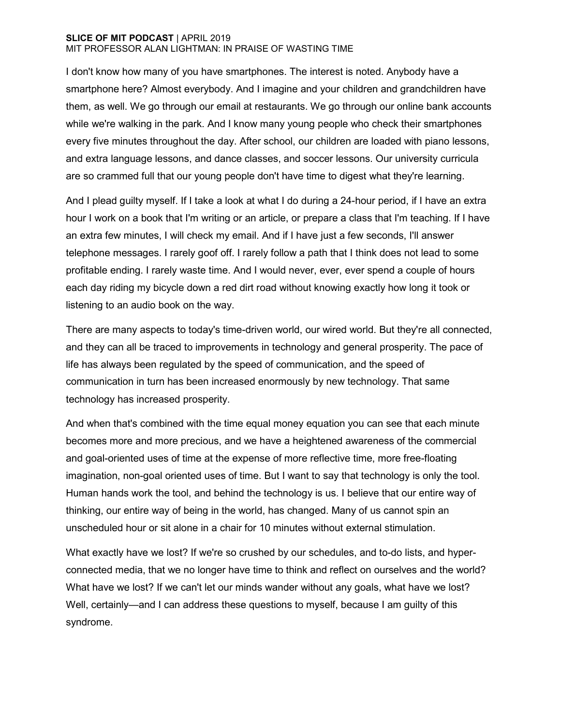I don't know how many of you have smartphones. The interest is noted. Anybody have a smartphone here? Almost everybody. And I imagine and your children and grandchildren have them, as well. We go through our email at restaurants. We go through our online bank accounts while we're walking in the park. And I know many young people who check their smartphones every five minutes throughout the day. After school, our children are loaded with piano lessons, and extra language lessons, and dance classes, and soccer lessons. Our university curricula are so crammed full that our young people don't have time to digest what they're learning.

And I plead guilty myself. If I take a look at what I do during a 24-hour period, if I have an extra hour I work on a book that I'm writing or an article, or prepare a class that I'm teaching. If I have an extra few minutes, I will check my email. And if I have just a few seconds, I'll answer telephone messages. I rarely goof off. I rarely follow a path that I think does not lead to some profitable ending. I rarely waste time. And I would never, ever, ever spend a couple of hours each day riding my bicycle down a red dirt road without knowing exactly how long it took or listening to an audio book on the way.

There are many aspects to today's time-driven world, our wired world. But they're all connected, and they can all be traced to improvements in technology and general prosperity. The pace of life has always been regulated by the speed of communication, and the speed of communication in turn has been increased enormously by new technology. That same technology has increased prosperity.

And when that's combined with the time equal money equation you can see that each minute becomes more and more precious, and we have a heightened awareness of the commercial and goal-oriented uses of time at the expense of more reflective time, more free-floating imagination, non-goal oriented uses of time. But I want to say that technology is only the tool. Human hands work the tool, and behind the technology is us. I believe that our entire way of thinking, our entire way of being in the world, has changed. Many of us cannot spin an unscheduled hour or sit alone in a chair for 10 minutes without external stimulation.

What exactly have we lost? If we're so crushed by our schedules, and to-do lists, and hyperconnected media, that we no longer have time to think and reflect on ourselves and the world? What have we lost? If we can't let our minds wander without any goals, what have we lost? Well, certainly—and I can address these questions to myself, because I am guilty of this syndrome.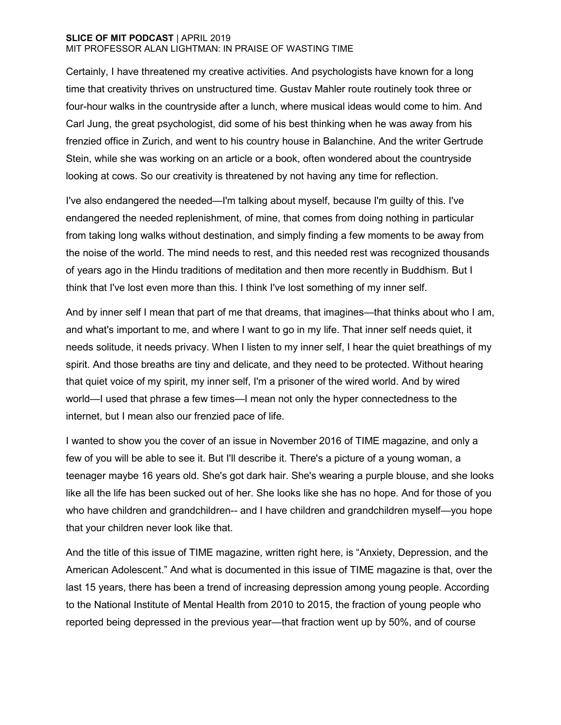Certainly, I have threatened my creative activities. And psychologists have known for a long time that creativity thrives on unstructured time. Gustav Mahler route routinely took three or four-hour walks in the countryside after a lunch, where musical ideas would come to him. And Carl Jung, the great psychologist, did some of his best thinking when he was away from his frenzied office in Zurich, and went to his country house in Balanchine. And the writer Gertrude Stein, while she was working on an article or a book, often wondered about the countryside looking at cows. So our creativity is threatened by not having any time for reflection.

I've also endangered the needed—I'm talking about myself, because I'm guilty of this. I've endangered the needed replenishment, of mine, that comes from doing nothing in particular from taking long walks without destination, and simply finding a few moments to be away from the noise of the world. The mind needs to rest, and this needed rest was recognized thousands of years ago in the Hindu traditions of meditation and then more recently in Buddhism. But I think that I've lost even more than this. I think I've lost something of my inner self.

And by inner self I mean that part of me that dreams, that imagines—that thinks about who I am, and what's important to me, and where I want to go in my life. That inner self needs quiet, it needs solitude, it needs privacy. When I listen to my inner self, I hear the quiet breathings of my spirit. And those breaths are tiny and delicate, and they need to be protected. Without hearing that quiet voice of my spirit, my inner self, I'm a prisoner of the wired world. And by wired world—I used that phrase a few times—I mean not only the hyper connectedness to the internet, but I mean also our frenzied pace of life.

I wanted to show you the cover of an issue in November 2016 of TIME magazine, and only a few of you will be able to see it. But I'll describe it. There's a picture of a young woman, a teenager maybe 16 years old. She's got dark hair. She's wearing a purple blouse, and she looks like all the life has been sucked out of her. She looks like she has no hope. And for those of you who have children and grandchildren-- and I have children and grandchildren myself—you hope that your children never look like that.

And the title of this issue of TIME magazine, written right here, is "Anxiety, Depression, and the American Adolescent." And what is documented in this issue of TIME magazine is that, over the last 15 years, there has been a trend of increasing depression among young people. According to the National Institute of Mental Health from 2010 to 2015, the fraction of young people who reported being depressed in the previous year—that fraction went up by 50%, and of course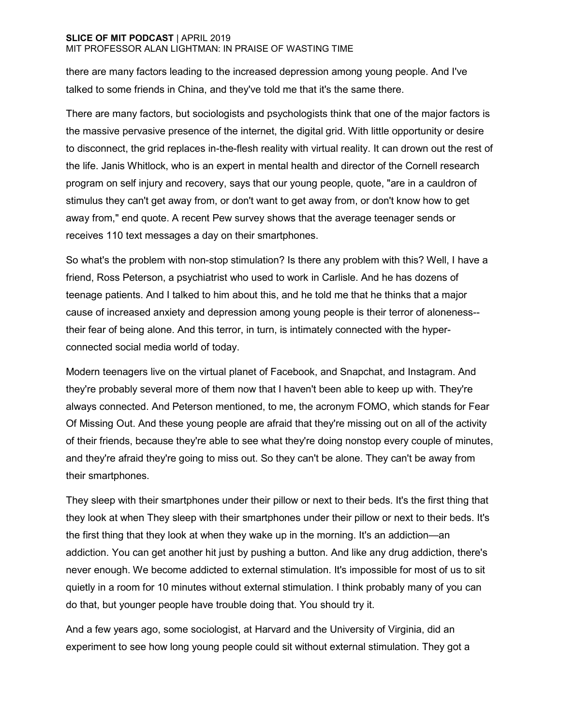there are many factors leading to the increased depression among young people. And I've talked to some friends in China, and they've told me that it's the same there.

There are many factors, but sociologists and psychologists think that one of the major factors is the massive pervasive presence of the internet, the digital grid. With little opportunity or desire to disconnect, the grid replaces in-the-flesh reality with virtual reality. It can drown out the rest of the life. Janis Whitlock, who is an expert in mental health and director of the Cornell research program on self injury and recovery, says that our young people, quote, "are in a cauldron of stimulus they can't get away from, or don't want to get away from, or don't know how to get away from," end quote. A recent Pew survey shows that the average teenager sends or receives 110 text messages a day on their smartphones.

So what's the problem with non-stop stimulation? Is there any problem with this? Well, I have a friend, Ross Peterson, a psychiatrist who used to work in Carlisle. And he has dozens of teenage patients. And I talked to him about this, and he told me that he thinks that a major cause of increased anxiety and depression among young people is their terror of aloneness- their fear of being alone. And this terror, in turn, is intimately connected with the hyperconnected social media world of today.

Modern teenagers live on the virtual planet of Facebook, and Snapchat, and Instagram. And they're probably several more of them now that I haven't been able to keep up with. They're always connected. And Peterson mentioned, to me, the acronym FOMO, which stands for Fear Of Missing Out. And these young people are afraid that they're missing out on all of the activity of their friends, because they're able to see what they're doing nonstop every couple of minutes, and they're afraid they're going to miss out. So they can't be alone. They can't be away from their smartphones.

They sleep with their smartphones under their pillow or next to their beds. It's the first thing that they look at when They sleep with their smartphones under their pillow or next to their beds. It's the first thing that they look at when they wake up in the morning. It's an addiction—an addiction. You can get another hit just by pushing a button. And like any drug addiction, there's never enough. We become addicted to external stimulation. It's impossible for most of us to sit quietly in a room for 10 minutes without external stimulation. I think probably many of you can do that, but younger people have trouble doing that. You should try it.

And a few years ago, some sociologist, at Harvard and the University of Virginia, did an experiment to see how long young people could sit without external stimulation. They got a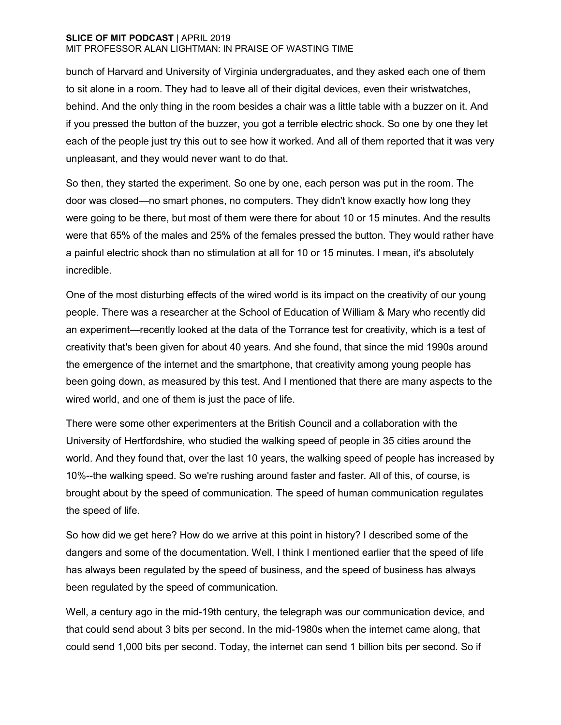bunch of Harvard and University of Virginia undergraduates, and they asked each one of them to sit alone in a room. They had to leave all of their digital devices, even their wristwatches, behind. And the only thing in the room besides a chair was a little table with a buzzer on it. And if you pressed the button of the buzzer, you got a terrible electric shock. So one by one they let each of the people just try this out to see how it worked. And all of them reported that it was very unpleasant, and they would never want to do that.

So then, they started the experiment. So one by one, each person was put in the room. The door was closed—no smart phones, no computers. They didn't know exactly how long they were going to be there, but most of them were there for about 10 or 15 minutes. And the results were that 65% of the males and 25% of the females pressed the button. They would rather have a painful electric shock than no stimulation at all for 10 or 15 minutes. I mean, it's absolutely incredible.

One of the most disturbing effects of the wired world is its impact on the creativity of our young people. There was a researcher at the School of Education of William & Mary who recently did an experiment—recently looked at the data of the Torrance test for creativity, which is a test of creativity that's been given for about 40 years. And she found, that since the mid 1990s around the emergence of the internet and the smartphone, that creativity among young people has been going down, as measured by this test. And I mentioned that there are many aspects to the wired world, and one of them is just the pace of life.

There were some other experimenters at the British Council and a collaboration with the University of Hertfordshire, who studied the walking speed of people in 35 cities around the world. And they found that, over the last 10 years, the walking speed of people has increased by 10%--the walking speed. So we're rushing around faster and faster. All of this, of course, is brought about by the speed of communication. The speed of human communication regulates the speed of life.

So how did we get here? How do we arrive at this point in history? I described some of the dangers and some of the documentation. Well, I think I mentioned earlier that the speed of life has always been regulated by the speed of business, and the speed of business has always been regulated by the speed of communication.

Well, a century ago in the mid-19th century, the telegraph was our communication device, and that could send about 3 bits per second. In the mid-1980s when the internet came along, that could send 1,000 bits per second. Today, the internet can send 1 billion bits per second. So if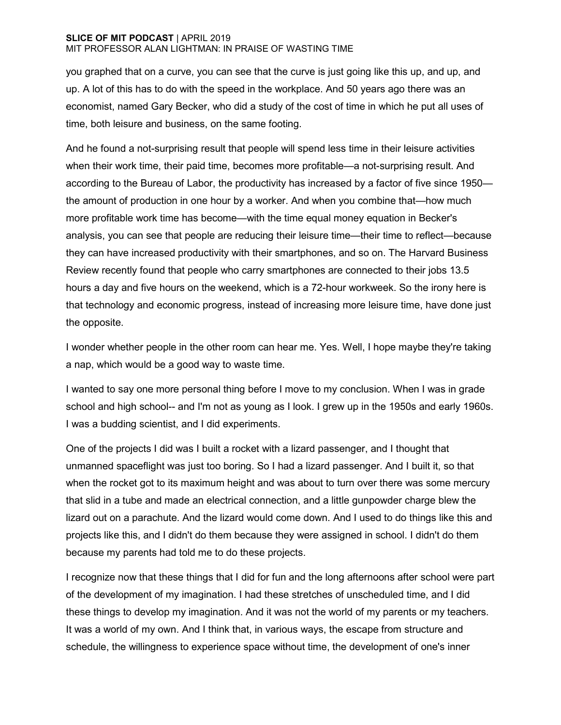you graphed that on a curve, you can see that the curve is just going like this up, and up, and up. A lot of this has to do with the speed in the workplace. And 50 years ago there was an economist, named Gary Becker, who did a study of the cost of time in which he put all uses of time, both leisure and business, on the same footing.

And he found a not-surprising result that people will spend less time in their leisure activities when their work time, their paid time, becomes more profitable—a not-surprising result. And according to the Bureau of Labor, the productivity has increased by a factor of five since 1950 the amount of production in one hour by a worker. And when you combine that—how much more profitable work time has become—with the time equal money equation in Becker's analysis, you can see that people are reducing their leisure time—their time to reflect—because they can have increased productivity with their smartphones, and so on. The Harvard Business Review recently found that people who carry smartphones are connected to their jobs 13.5 hours a day and five hours on the weekend, which is a 72-hour workweek. So the irony here is that technology and economic progress, instead of increasing more leisure time, have done just the opposite.

I wonder whether people in the other room can hear me. Yes. Well, I hope maybe they're taking a nap, which would be a good way to waste time.

I wanted to say one more personal thing before I move to my conclusion. When I was in grade school and high school-- and I'm not as young as I look. I grew up in the 1950s and early 1960s. I was a budding scientist, and I did experiments.

One of the projects I did was I built a rocket with a lizard passenger, and I thought that unmanned spaceflight was just too boring. So I had a lizard passenger. And I built it, so that when the rocket got to its maximum height and was about to turn over there was some mercury that slid in a tube and made an electrical connection, and a little gunpowder charge blew the lizard out on a parachute. And the lizard would come down. And I used to do things like this and projects like this, and I didn't do them because they were assigned in school. I didn't do them because my parents had told me to do these projects.

I recognize now that these things that I did for fun and the long afternoons after school were part of the development of my imagination. I had these stretches of unscheduled time, and I did these things to develop my imagination. And it was not the world of my parents or my teachers. It was a world of my own. And I think that, in various ways, the escape from structure and schedule, the willingness to experience space without time, the development of one's inner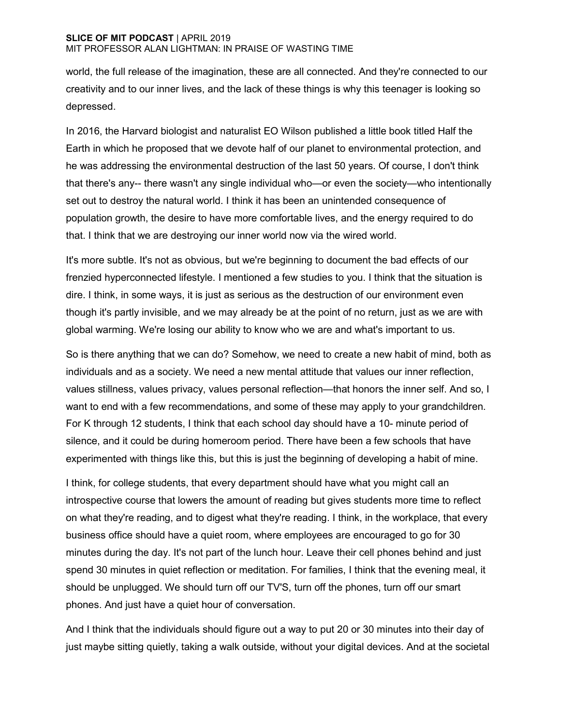world, the full release of the imagination, these are all connected. And they're connected to our creativity and to our inner lives, and the lack of these things is why this teenager is looking so depressed.

In 2016, the Harvard biologist and naturalist EO Wilson published a little book titled Half the Earth in which he proposed that we devote half of our planet to environmental protection, and he was addressing the environmental destruction of the last 50 years. Of course, I don't think that there's any-- there wasn't any single individual who—or even the society—who intentionally set out to destroy the natural world. I think it has been an unintended consequence of population growth, the desire to have more comfortable lives, and the energy required to do that. I think that we are destroying our inner world now via the wired world.

It's more subtle. It's not as obvious, but we're beginning to document the bad effects of our frenzied hyperconnected lifestyle. I mentioned a few studies to you. I think that the situation is dire. I think, in some ways, it is just as serious as the destruction of our environment even though it's partly invisible, and we may already be at the point of no return, just as we are with global warming. We're losing our ability to know who we are and what's important to us.

So is there anything that we can do? Somehow, we need to create a new habit of mind, both as individuals and as a society. We need a new mental attitude that values our inner reflection, values stillness, values privacy, values personal reflection—that honors the inner self. And so, I want to end with a few recommendations, and some of these may apply to your grandchildren. For K through 12 students, I think that each school day should have a 10- minute period of silence, and it could be during homeroom period. There have been a few schools that have experimented with things like this, but this is just the beginning of developing a habit of mine.

I think, for college students, that every department should have what you might call an introspective course that lowers the amount of reading but gives students more time to reflect on what they're reading, and to digest what they're reading. I think, in the workplace, that every business office should have a quiet room, where employees are encouraged to go for 30 minutes during the day. It's not part of the lunch hour. Leave their cell phones behind and just spend 30 minutes in quiet reflection or meditation. For families, I think that the evening meal, it should be unplugged. We should turn off our TV'S, turn off the phones, turn off our smart phones. And just have a quiet hour of conversation.

And I think that the individuals should figure out a way to put 20 or 30 minutes into their day of just maybe sitting quietly, taking a walk outside, without your digital devices. And at the societal